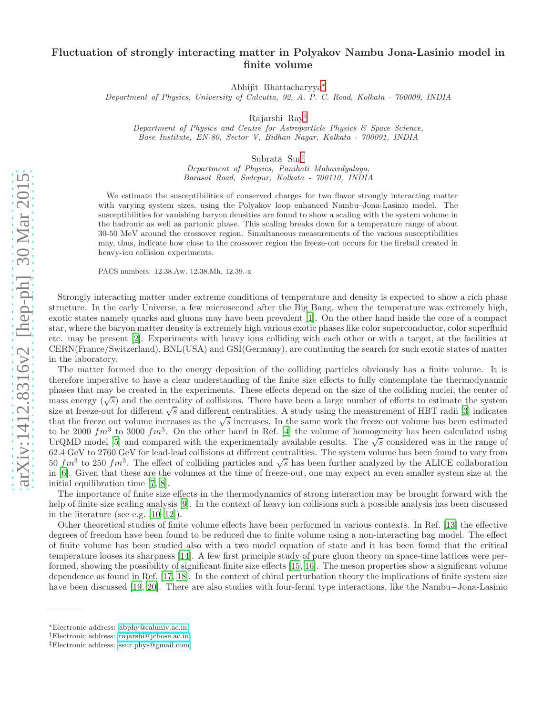## Fluctuation of strongly interacting matter in Polyakov Nambu Jona-Lasinio model in finite volume

Abhijit Bhattacharyya[∗](#page-0-0)

Department of Physics, University of Calcutta, 92, A. P. C. Road, Kolkata - 700009, INDIA

Rajarshi Ray[†](#page-0-1)

Department of Physics and Centre for Astroparticle Physics & Space Science, Bose Institute, EN-80, Sector V, Bidhan Nagar, Kolkata - 700091, INDIA

Subrata Sur[‡](#page-0-2)

Department of Physics, Panihati Mahavidyalaya, Barasat Road, Sodepur, Kolkata - 700110, INDIA

We estimate the susceptibilities of conserved charges for two flavor strongly interacting matter with varying system sizes, using the Polyakov loop enhanced Nambu–Jona-Lasinio model. The susceptibilities for vanishing baryon densities are found to show a scaling with the system volume in the hadronic as well as partonic phase. This scaling breaks down for a temperature range of about 30-50 MeV around the crossover region. Simultaneous measurements of the various susceptibilities may, thus, indicate how close to the crossover region the freeze-out occurs for the fireball created in heavy-ion collision experiments.

PACS numbers: 12.38.Aw, 12.38.Mh, 12.39.-x

Strongly interacting matter under extreme conditions of temperature and density is expected to show a rich phase structure. In the early Universe, a few microsecond after the Big Bang, when the temperature was extremely high, exotic states namely quarks and gluons may have been prevalent [\[1](#page-4-0)]. On the other hand inside the core of a compact star, where the baryon matter density is extremely high various exotic phases like color superconductor, color superfluid etc. may be present [\[2](#page-4-1)]. Experiments with heavy ions colliding with each other or with a target, at the facilities at CERN(France/Switzerland), BNL(USA) and GSI(Germany), are continuing the search for such exotic states of matter in the laboratory.

The matter formed due to the energy deposition of the colliding particles obviously has a finite volume. It is therefore imperative to have a clear understanding of the finite size effects to fully contemplate the thermodynamic phases that may be created in the experiments. These effects depend on the size of the colliding nuclei, the center of mass energy  $(\sqrt{s})$  and the centrality of collisions. There have been a large number of efforts to estimate the system size at freeze-out for different  $\sqrt{s}$  and different centralities. A study using the measurement of HBT radii [\[3](#page-4-2)] indicates that the freeze out volume increases as the  $\sqrt{s}$  increases. In the same work the freeze out volume has been estimated to be 2000  $fm^3$  to 3000  $fm^3$ . On the other hand in Ref. [\[4\]](#page-4-3) the volume of homogeneity has been calculated using UrQMD model [\[5](#page-4-4)] and compared with the experimentally available results. The  $\sqrt{s}$  considered was in the range of 62.4 GeV to 2760 GeV for lead-lead collisions at different centralities. The system volume has been found to vary from  $50 fm<sup>3</sup>$  to 250  $fm<sup>3</sup>$ . The effect of colliding particles and  $\sqrt{s}$  has been further analyzed by the ALICE collaboration in [\[6](#page-4-5)]. Given that these are the volumes at the time of freeze-out, one may expect an even smaller system size at the initial equilibration time [\[7,](#page-4-6) [8\]](#page-4-7).

The importance of finite size effects in the thermodynamics of strong interaction may be brought forward with the help of finite size scaling analysis [\[9\]](#page-4-8). In the context of heavy ion collisions such a possible analysis has been discussed in the literature (see e.g. [\[10–](#page-5-0)[12\]](#page-5-1)).

Other theoretical studies of finite volume effects have been performed in various contexts. In Ref. [\[13\]](#page-5-2) the effective degrees of freedom have been found to be reduced due to finite volume using a non-interacting bag model. The effect of finite volume has been studied also with a two model equation of state and it has been found that the critical temperature looses its sharpness [\[14\]](#page-5-3). A few first principle study of pure gluon theory on space-time lattices were performed, showing the possibility of significant finite size effects [\[15](#page-5-4), [16\]](#page-5-5). The meson properties show a significant volume dependence as found in Ref. [\[17,](#page-5-6) [18](#page-5-7)]. In the context of chiral perturbation theory the implications of finite system size have been discussed [\[19,](#page-5-8) [20](#page-5-9)]. There are also studies with four-fermi type interactions, like the Nambu−Jona-Lasinio

<span id="page-0-0"></span><sup>∗</sup>Electronic address: [abphy@caluniv.ac.in](mailto:abphy@caluniv.ac.in)

<span id="page-0-1"></span><sup>†</sup>Electronic address: [rajarshi@jcbose.ac.in](mailto:rajarshi@jcbose.ac.in)

<span id="page-0-2"></span><sup>‡</sup>Electronic address: [ssur.phys@gmail.com](mailto:ssur.phys@gmail.com)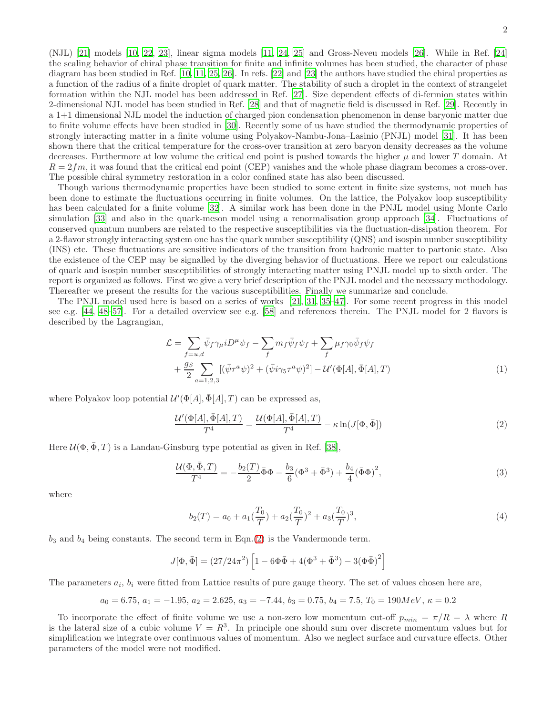(NJL) [\[21\]](#page-5-10) models [\[10,](#page-5-0) [22,](#page-5-11) [23\]](#page-5-12), linear sigma models [\[11](#page-5-13), [24](#page-5-14), [25\]](#page-5-15) and Gross-Neveu models [\[26](#page-5-16)]. While in Ref. [\[24](#page-5-14)] the scaling behavior of chiral phase transition for finite and infinite volumes has been studied, the character of phase diagram has been studied in Ref. [\[10,](#page-5-0) [11](#page-5-13), [25,](#page-5-15) [26](#page-5-16)]. In refs. [\[22](#page-5-11)] and [\[23](#page-5-12)] the authors have studied the chiral properties as a function of the radius of a finite droplet of quark matter. The stability of such a droplet in the context of strangelet formation within the NJL model has been addressed in Ref. [\[27](#page-5-17)]. Size dependent effects of di-fermion states within 2-dimensional NJL model has been studied in Ref. [\[28\]](#page-5-18) and that of magnetic field is discussed in Ref. [\[29](#page-5-19)]. Recently in a 1+1 dimensional NJL model the induction of charged pion condensation phenomenon in dense baryonic matter due to finite volume effects have been studied in [\[30](#page-5-20)]. Recently some of us have studied the thermodynamic properties of strongly interacting matter in a finite volume using Polyakov-Nambu-Jona–Lasinio (PNJL) model [\[31\]](#page-5-21). It has been shown there that the critical temperature for the cross-over transition at zero baryon density decreases as the volume decreases. Furthermore at low volume the critical end point is pushed towards the higher  $\mu$  and lower T domain. At  $R = 2fm$ , it was found that the critical end point (CEP) vanishes and the whole phase diagram becomes a cross-over. The possible chiral symmetry restoration in a color confined state has also been discussed.

Though various thermodynamic properties have been studied to some extent in finite size systems, not much has been done to estimate the fluctuations occurring in finite volumes. On the lattice, the Polyakov loop susceptibility has been calculated for a finite volume [\[32\]](#page-5-22). A similar work has been done in the PNJL model using Monte Carlo simulation [\[33](#page-5-23)] and also in the quark-meson model using a renormalisation group approach [\[34\]](#page-5-24). Fluctuations of conserved quantum numbers are related to the respective susceptibilities via the fluctuation-dissipation theorem. For a 2-flavor strongly interacting system one has the quark number susceptibility (QNS) and isospin number susceptibility (INS) etc. These fluctuations are sensitive indicators of the transition from hadronic matter to partonic state. Also the existence of the CEP may be signalled by the diverging behavior of fluctuations. Here we report our calculations of quark and isospin number susceptibilities of strongly interacting matter using PNJL model up to sixth order. The report is organized as follows. First we give a very brief description of the PNJL model and the necessary methodology. Thereafter we present the results for the various susceptibilities. Finally we summarize and conclude.

The PNJL model used here is based on a series of works [\[21](#page-5-10), [31,](#page-5-21) [35](#page-5-25)[–47\]](#page-5-26). For some recent progress in this model see e.g. [\[44,](#page-5-27) [48](#page-5-28)[–57\]](#page-5-29). For a detailed overview see e.g. [\[58](#page-5-30)] and references therein. The PNJL model for 2 flavors is described by the Lagrangian,

$$
\mathcal{L} = \sum_{f=u,d} \bar{\psi}_f \gamma_\mu i D^\mu \psi_f - \sum_f m_f \bar{\psi}_f \psi_f + \sum_f \mu_f \gamma_0 \bar{\psi}_f \psi_f + \frac{g_S}{2} \sum_{a=1,2,3} [(\bar{\psi}_f a_\psi)^2 + (\bar{\psi}_f \gamma_5 \tau^a \psi)^2] - \mathcal{U}'(\Phi[A], \bar{\Phi}[A], T)
$$
\n(1)

where Polyakov loop potential  $\mathcal{U}'(\Phi[A], \bar{\Phi}[A], T)$  can be expressed as,

<span id="page-1-0"></span>
$$
\frac{\mathcal{U}'(\Phi[A], \bar{\Phi}[A], T)}{T^4} = \frac{\mathcal{U}(\Phi[A], \bar{\Phi}[A], T)}{T^4} - \kappa \ln(J[\Phi, \bar{\Phi}])
$$
\n(2)

Here  $\mathcal{U}(\Phi, \bar{\Phi}, T)$  is a Landau-Ginsburg type potential as given in Ref. [\[38\]](#page-5-31),

$$
\frac{\mathcal{U}(\Phi, \bar{\Phi}, T)}{T^4} = -\frac{b_2(T)}{2} \bar{\Phi}\Phi - \frac{b_3}{6} (\Phi^3 + \bar{\Phi}^3) + \frac{b_4}{4} (\bar{\Phi}\Phi)^2,
$$
\n(3)

where

$$
b_2(T) = a_0 + a_1(\frac{T_0}{T}) + a_2(\frac{T_0}{T})^2 + a_3(\frac{T_0}{T})^3,
$$
\n<sup>(4)</sup>

 $b_3$  and  $b_4$  being constants. The second term in Eqn.[\(2\)](#page-1-0) is the Vandermonde term.

$$
J[\Phi, \bar{\Phi}] = (27/24\pi^2) \left[ 1 - 6\Phi \bar{\Phi} + 4(\Phi^3 + \bar{\Phi}^3) - 3(\Phi \bar{\Phi})^2 \right]
$$

The parameters  $a_i$ ,  $b_i$  were fitted from Lattice results of pure gauge theory. The set of values chosen here are,

$$
a_0 = 6.75, a_1 = -1.95, a_2 = 2.625, a_3 = -7.44, b_3 = 0.75, b_4 = 7.5, T_0 = 190 MeV, \kappa = 0.2
$$

To incorporate the effect of finite volume we use a non-zero low momentum cut-off  $p_{min} = \pi/R = \lambda$  where R is the lateral size of a cubic volume  $V = R^3$ . In principle one should sum over discrete momentum values but for simplification we integrate over continuous values of momentum. Also we neglect surface and curvature effects. Other parameters of the model were not modified.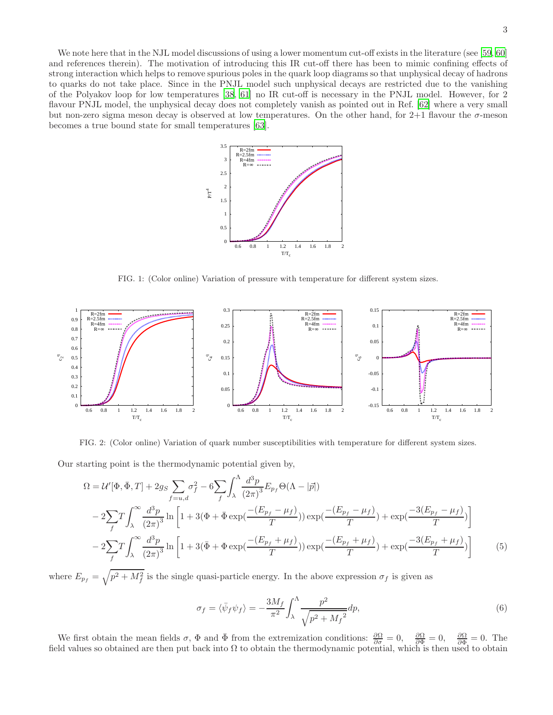We note here that in the NJL model discussions of using a lower momentum cut-off exists in the literature (see [\[59](#page-5-32), [60](#page-5-33)] and references therein). The motivation of introducing this IR cut-off there has been to mimic confining effects of strong interaction which helps to remove spurious poles in the quark loop diagrams so that unphysical decay of hadrons to quarks do not take place. Since in the PNJL model such unphysical decays are restricted due to the vanishing of the Polyakov loop for low temperatures [\[38](#page-5-31), [61](#page-5-34)] no IR cut-off is necessary in the PNJL model. However, for 2 flavour PNJL model, the unphysical decay does not completely vanish as pointed out in Ref. [\[62](#page-5-35)] where a very small but non-zero sigma meson decay is observed at low temperatures. On the other hand, for  $2+1$  flavour the  $\sigma$ -meson becomes a true bound state for small temperatures [\[63\]](#page-5-36).



<span id="page-2-0"></span>FIG. 1: (Color online) Variation of pressure with temperature for different system sizes.



<span id="page-2-1"></span>FIG. 2: (Color online) Variation of quark number susceptibilities with temperature for different system sizes.

Our starting point is the thermodynamic potential given by,

$$
\Omega = \mathcal{U}'[\Phi, \bar{\Phi}, T] + 2g_S \sum_{f=u,d} \sigma_f^2 - 6 \sum_f \int_{\lambda}^{\Lambda} \frac{d^3 p}{(2\pi)^3} E_{p_f} \Theta(\Lambda - |\vec{p}|)
$$
  
- 2 $\sum_f T \int_{\lambda}^{\infty} \frac{d^3 p}{(2\pi)^3} \ln \left[ 1 + 3(\Phi + \bar{\Phi} \exp(\frac{-(E_{p_f} - \mu_f)}{T})) \exp(\frac{-(E_{p_f} - \mu_f)}{T}) + \exp(\frac{-3(E_{p_f} - \mu_f)}{T}) \right]$   
- 2 $\sum_f T \int_{\lambda}^{\infty} \frac{d^3 p}{(2\pi)^3} \ln \left[ 1 + 3(\bar{\Phi} + \Phi \exp(\frac{-(E_{p_f} + \mu_f)}{T})) \exp(\frac{-(E_{p_f} + \mu_f)}{T}) + \exp(\frac{-3(E_{p_f} + \mu_f)}{T}) \right]$  (5)

where  $E_{p_f} = \sqrt{p^2 + M_f^2}$  is the single quasi-particle energy. In the above expression  $\sigma_f$  is given as

$$
\sigma_f = \langle \bar{\psi}_f \psi_f \rangle = -\frac{3M_f}{\pi^2} \int_{\lambda}^{\Lambda} \frac{p^2}{\sqrt{p^2 + {M_f}^2}} dp,\tag{6}
$$

We first obtain the mean fields  $\sigma$ ,  $\Phi$  and  $\bar{\Phi}$  from the extremization conditions:  $\frac{\partial \Omega}{\partial \sigma} = 0$ ,  $\frac{\partial \Omega}{\partial \Phi} = 0$ . The field values so obtained are then put back into  $\Omega$  to obtain the thermodynamic potential, which is then used to obtain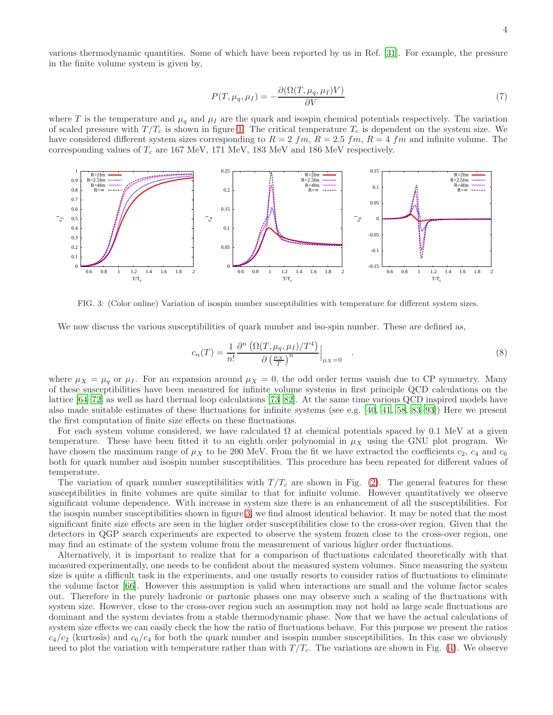various thermodynamic quantities. Some of which have been reported by us in Ref. [\[31](#page-5-21)]. For example, the pressure in the finite volume system is given by,

$$
P(T, \mu_q, \mu_I) = -\frac{\partial (\Omega(T, \mu_q, \mu_I)V)}{\partial V} \tag{7}
$$

where T is the temperature and  $\mu_q$  and  $\mu_I$  are the quark and isospin chemical potentials respectively. The variation of scaled pressure with  $T/T_c$  is shown in figure [1.](#page-2-0) The critical temperature  $T_c$  is dependent on the system size. We have considered different system sizes corresponding to  $R = 2 fm$ ,  $R = 2.5 fm$ ,  $R = 4 fm$  and infinite volume. The corresponding values of  $T_c$  are 167 MeV, 171 MeV, 183 MeV and 186 MeV respectively.



<span id="page-3-0"></span>FIG. 3: (Color online) Variation of isospin number susceptibilities with temperature for different system sizes.

We now discuss the various susceptibilities of quark number and iso-spin number. These are defined as,

$$
c_n(T) = \frac{1}{n!} \frac{\partial^n \left( \Omega(T, \mu_q, \mu_I) / T^4 \right)}{\partial \left( \frac{\mu_X}{T} \right)^n} \Big|_{\mu_X = 0} \quad . \tag{8}
$$

where  $\mu_X = \mu_q$  or  $\mu_I$ . For an expansion around  $\mu_X = 0$ , the odd order terms vanish due to CP symmetry. Many of these susceptibilities have been measured for infinite volume systems in first principle QCD calculations on the lattice [\[64](#page-5-37)[–72\]](#page-6-0) as well as hard thermal loop calculations [\[73–](#page-6-1)[82\]](#page-6-2). At the same time various QCD inspired models have also made suitable estimates of these fluctuations for infinite systems (see e.g. [\[40](#page-5-38), [41,](#page-5-39) [58,](#page-5-30) [83](#page-6-3)[–93\]](#page-6-4)) Here we present the first computation of finite size effects on these fluctuations.

For each system volume considered, we have calculated  $\Omega$  at chemical potentials spaced by 0.1 MeV at a given temperature. These have been fitted it to an eighth order polynomial in  $\mu_X$  using the GNU plot program. We have chosen the maximum range of  $\mu_X$  to be 200 MeV. From the fit we have extracted the coefficients  $c_2$ ,  $c_4$  and  $c_6$ both for quark number and isospin number susceptibilities. This procedure has been repeated for different values of temperature.

The variation of quark number susceptibilities with  $T/T_c$  are shown in Fig. [\(2\)](#page-2-1). The general features for these susceptibilities in finite volumes are quite similar to that for infinite volume. However quantitatively we observe significant volume dependence. With increase in system size there is an enhancement of all the susceptibilities. For the isospin number susceptibilities shown in figure [3,](#page-3-0) we find almost identical behavior. It may be noted that the most significant finite size effects are seen in the higher order susceptibilities close to the cross-over region. Given that the detectors in QGP search experiments are expected to observe the system frozen close to the cross-over region, one may find an estimate of the system volume from the measurement of various higher order fluctuations.

Alternatively, it is important to realize that for a comparison of fluctuations calculated theoretically with that measured experimentally, one needs to be confident about the measured system volumes. Since measuring the system size is quite a difficult task in the experiments, and one usually resorts to consider ratios of fluctuations to eliminate the volume factor [\[66\]](#page-5-40). However this assumption is valid when interactions are small and the volume factor scales out. Therefore in the purely hadronic or partonic phases one may observe such a scaling of the fluctuations with system size. However, close to the cross-over region such an assumption may not hold as large scale fluctuations are dominant and the system deviates from a stable thermodynamic phase. Now that we have the actual calculations of system size effects we can easily check the how the ratio of fluctuations behave. For this purpose we present the ratios  $c_4/c_2$  (kurtosis) and  $c_6/c_4$  for both the quark number and isospin number susceptibilities. In this case we obviously need to plot the variation with temperature rather than with  $T/T_c$ . The variations are shown in Fig. [\(4\)](#page-4-9). We observe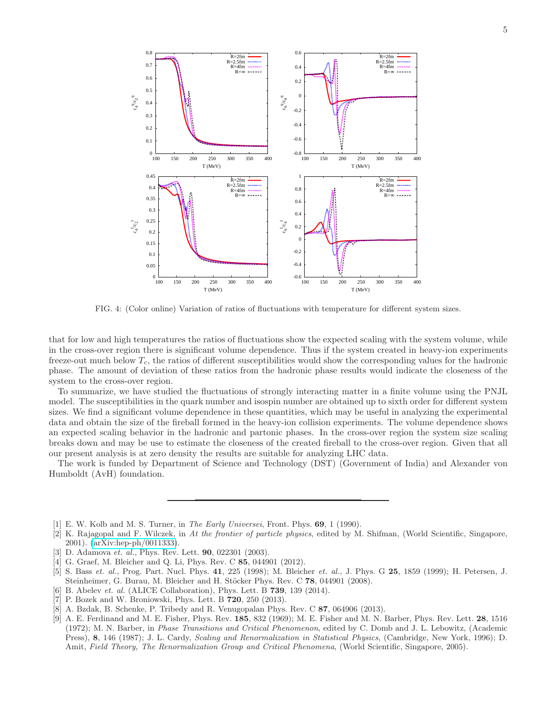

<span id="page-4-9"></span>FIG. 4: (Color online) Variation of ratios of fluctuations with temperature for different system sizes.

that for low and high temperatures the ratios of fluctuations show the expected scaling with the system volume, while in the cross-over region there is significant volume dependence. Thus if the system created in heavy-ion experiments freeze-out much below  $T_c$ , the ratios of different susceptibilities would show the corresponding values for the hadronic phase. The amount of deviation of these ratios from the hadronic phase results would indicate the closeness of the system to the cross-over region.

To summarize, we have studied the fluctuations of strongly interacting matter in a finite volume using the PNJL model. The susceptibilities in the quark number and isospin number are obtained up to sixth order for different system sizes. We find a significant volume dependence in these quantities, which may be useful in analyzing the experimental data and obtain the size of the fireball formed in the heavy-ion collision experiments. The volume dependence shows an expected scaling behavior in the hadronic and partonic phases. In the cross-over region the system size scaling breaks down and may be use to estimate the closeness of the created fireball to the cross-over region. Given that all our present analysis is at zero density the results are suitable for analyzing LHC data.

The work is funded by Department of Science and Technology (DST) (Government of India) and Alexander von Humboldt (AvH) foundation.

- <span id="page-4-0"></span>[1] E. W. Kolb and M. S. Turner, in The Early Universei, Front. Phys. 69, 1 (1990).
- <span id="page-4-1"></span>[2] K. Rajagopal and F. Wilczek, in At the frontier of particle physics, edited by M. Shifman, (World Scientific, Singapore, 2001). [\(arXiv:hep-ph/0011333\)](http://arxiv.org/abs/hep-ph/0011333).
- <span id="page-4-2"></span>[3] D. Adamova et. al., Phys. Rev. Lett. **90**, 022301 (2003).
- <span id="page-4-3"></span>G. Graef, M. Bleicher and Q. Li, Phys. Rev. C 85, 044901 (2012).
- <span id="page-4-4"></span>[5] S. Bass et. al., Prog. Part. Nucl. Phys. 41, 225 (1998); M. Bleicher et. al., J. Phys. G 25, 1859 (1999); H. Petersen, J. Steinheimer, G. Burau, M. Bleicher and H. Stöcker Phys. Rev. C 78, 044901 (2008).
- <span id="page-4-5"></span>[6] B. Abelev *et. al.* (ALICE Collaboration), Phys. Lett. B **739**, 139 (2014).
- <span id="page-4-6"></span>[7] P. Bozek and W. Broniowski, Phys. Lett. B 720, 250 (2013).
- <span id="page-4-7"></span>[8] A. Bzdak, B. Schenke, P. Tribedy and R. Venugopalan Phys. Rev. C 87, 064906 (2013).
- <span id="page-4-8"></span>[9] A. E. Ferdinand and M. E. Fisher, Phys. Rev. 185, 832 (1969); M. E. Fisher and M. N. Barber, Phys. Rev. Lett. 28, 1516 (1972); M. N. Barber, in Phase Transitions and Critical Phenomenon, edited by C. Domb and J. L. Lebowitz, (Academic Press), 8, 146 (1987); J. L. Cardy, *Scaling and Renormalization in Statistical Physics*, (Cambridge, New York, 1996); D. Amit, Field Theory, The Renormalization Group and Critical Phenomena, (World Scientific, Singapore, 2005).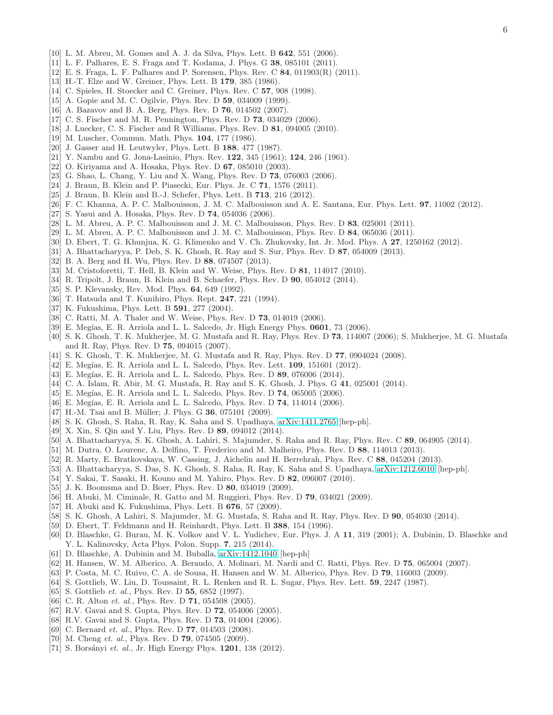- <span id="page-5-0"></span>[10] L. M. Abreu, M. Gomes and A. J. da Silva, Phys. Lett. B 642, 551 (2006).
- <span id="page-5-13"></span>[11] L. F. Palhares, E. S. Fraga and T. Kodama, J. Phys. G 38, 085101 (2011).
- <span id="page-5-1"></span>[12] E. S. Fraga, L. F. Palhares and P. Sorensen, Phys. Rev. C 84, 011903(R) (2011).
- <span id="page-5-2"></span>[13] H.-T. Elze and W. Greiner, Phys. Lett. B 179, 385 (1986).
- <span id="page-5-3"></span>[14] C. Spieles, H. Stoecker and C. Greiner, Phys. Rev. C **57**, 908 (1998).
- <span id="page-5-4"></span>[15] A. Gopie and M. C. Ogilvie, Phys. Rev. D **59**, 034009 (1999).
- <span id="page-5-5"></span>[16] A. Bazavov and B. A. Berg, Phys. Rev. D **76**, 014502 (2007).
- <span id="page-5-6"></span>[17] C. S. Fischer and M. R. Pennington, Phys. Rev. D **73**, 034029 (2006).
- <span id="page-5-7"></span>[18] J. Luecker, C. S. Fischer and R Williams, Phys. Rev. D 81, 094005 (2010).
- <span id="page-5-8"></span>[19] M. Luscher, Commun. Math. Phys. **104**, 177 (1986).
- <span id="page-5-9"></span>[20] J. Gasser and H. Leutwyler, Phys. Lett. B 188, 477 (1987).
- <span id="page-5-10"></span>[21] Y. Nambu and G. Jona-Lasinio, Phys. Rev. 122, 345 (1961); 124, 246 (1961).
- <span id="page-5-11"></span>[22] O. Kiriyama and A. Hosaka, Phys. Rev. D 67, 085010 (2003).
- <span id="page-5-12"></span>[23] G. Shao, L. Chang, Y. Liu and X. Wang, Phys. Rev. D 73, 076003 (2006).
- <span id="page-5-14"></span>[24] J. Braun, B. Klein and P. Piasecki, Eur. Phys. Jr. C 71, 1576 (2011).
- <span id="page-5-15"></span>[25] J. Braun, B. Klein and B.-J. Schefer, Phys. Lett. B **713**, 216 (2012).
- <span id="page-5-16"></span>[26] F. C. Khanna, A. P. C. Malbouisson, J. M. C. Malbouisson and A. E. Santana, Eur. Phys. Lett. 97, 11002 (2012).
- <span id="page-5-17"></span>[27] S. Yasui and A. Hosaka, Phys. Rev. D 74, 054036 (2006).
- <span id="page-5-18"></span>[28] L. M. Abreu, A. P. C. Malbouisson and J. M. C. Malbouisson, Phys. Rev. D 83, 025001 (2011).
- <span id="page-5-19"></span>[29] L. M. Abreu, A. P. C. Malbouisson and J. M. C. Malbouisson, Phys. Rev. D 84, 065036 (2011).
- <span id="page-5-20"></span>[30] D. Ebert, T. G. Khunjua, K. G. Klimenko and V. Ch. Zhukovsky, Int. Jr. Mod. Phys. A 27, 1250162 (2012).
- <span id="page-5-21"></span>[31] A. Bhattacharyya, P. Deb, S. K. Ghosh, R. Ray and S. Sur, Phys. Rev. D 87, 054009 (2013).
- <span id="page-5-22"></span>[32] B. A. Berg and H. Wu, Phys. Rev. D 88, 074507 (2013).
- <span id="page-5-23"></span>[33] M. Cristoforetti, T. Hell, B. Klein and W. Weise, Phys. Rev. D 81, 114017 (2010).
- <span id="page-5-24"></span>[34] R. Tripolt, J. Braun, B. Klein and B. Schaefer, Phys. Rev. D 90, 054012 (2014).
- <span id="page-5-25"></span>[35] S. P. Klevansky, Rev. Mod. Phys. **64**, 649 (1992).
- [36] T. Hatsuda and T. Kunihiro, Phys. Rept. **247**, 221 (1994).
- [37] K. Fukushima, Phys. Lett. B 591, 277 (2004).
- <span id="page-5-31"></span>[38] C. Ratti, M. A. Thaler and W. Weise, Phys. Rev. D **73**, 014019 (2006).
- [39] E. Megías, E. R. Arriola and L. L. Salcedo, Jr. High Energy Phys. 0601, 73 (2006).
- <span id="page-5-38"></span>[40] S. K. Ghosh, T. K. Mukherjee, M. G. Mustafa and R. Ray, Phys. Rev. D 73, 114007 (2006); S. Mukherjee, M. G. Mustafa and R. Ray, Phys. Rev. D 75, 094015 (2007).
- <span id="page-5-39"></span>[41] S. K. Ghosh, T. K. Mukherjee, M. G. Mustafa and R. Ray, Phys. Rev. D 77, 0904024 (2008).
- $[42]$  E. Megías, E. R. Arriola and L. L. Salcedo, Phys. Rev. Lett. **109**, 151601 (2012).
- [43] E. Megías, E. R. Arriola and L. L. Salcedo, Phys. Rev. D 89, 076006 (2014).
- <span id="page-5-27"></span>[44] C. A. Islam, R. Abir, M. G. Mustafa, R. Ray and S. K. Ghosh, J. Phys. G 41, 025001 (2014).
- [45] E. Megías, E. R. Arriola and L. L. Salcedo, Phys. Rev. D 74, 065005 (2006).
- [46] E. Megías, E. R. Arriola and L. L. Salcedo, Phys. Rev. D 74, 114014 (2006).
- <span id="page-5-26"></span>[47] H.-M. Tsai and B. Müller; J. Phys. G 36, 075101 (2009).
- <span id="page-5-28"></span>[48] S. K. Ghosh, S. Raha, R. Ray, K. Saha and S. Upadhaya, [arXiv:1411.2765](http://arxiv.org/abs/1411.2765) [hep-ph].
- [49] X. Xin, S. Qin and Y. Liu, Phys. Rev. D 89, 094012 (2014).
- [50] A. Bhattacharyya, S. K. Ghosh, A. Lahiri, S. Majumder, S. Raha and R. Ray, Phys. Rev. C 89, 064905 (2014).
- [51] M. Dutra, O. Lourenc, A. Delfino, T. Frederico and M. Malheiro, Phys. Rev. D 88, 114013 (2013).
- [52] R. Marty, E. Bratkovskaya, W. Cassing, J. Aichelin and H. Berrehrah, Phys. Rev. C 88, 045204 (2013).
- [53] A. Bhattacharyya, S. Das, S. K. Ghosh, S. Raha, R. Ray, K. Saha and S. Upadhaya, [arXiv:1212.6010](http://arxiv.org/abs/1212.6010) [hep-ph].
- [54] Y. Sakai, T. Sasaki, H. Kouno and M. Yahiro, Phys. Rev. D 82, 096007 (2010).
- [55] J. K. Boomsma and D. Boer, Phys. Rev. D 80, 034019 (2009).
- [56] H. Abuki, M. Ciminale, R. Gatto and M. Ruggieri, Phys. Rev. D 79, 034021 (2009).
- <span id="page-5-29"></span>[57] H. Abuki and K. Fukushima, Phys. Lett. B 676, 57 (2009).
- <span id="page-5-30"></span>[58] S. K. Ghosh, A Lahiri, S. Majumder, M. G. Mustafa, S. Raha and R. Ray, Phys. Rev. D 90, 054030 (2014).
- <span id="page-5-32"></span>[59] D. Ebert, T. Feldmann and H. Reinhardt, Phys. Lett. B 388, 154 (1996).
- <span id="page-5-33"></span>[60] D. Blaschke, G. Burau, M. K. Volkov and V. L. Yudichev, Eur. Phys. J. A 11, 319 (2001); A. Dubinin, D. Blaschke and Y. L. Kalinovsky, Acta Phys. Polon. Supp. 7, 215 (2014).
- <span id="page-5-34"></span>[61] D. Blaschke, A. Dubinin and M. Buballa, [arXiv:1412.1040](http://arxiv.org/abs/1412.1040) [hep-ph]
- <span id="page-5-35"></span>[62] H. Hansen, W. M. Alberico, A. Beraudo, A. Molinari, M. Nardi and C. Ratti, Phys. Rev. D 75, 065004 (2007).
- <span id="page-5-36"></span>[63] P. Costa, M. C. Ruivo, C. A. de Sousa, H. Hansen and W. M. Alberico, Phys. Rev. D 79, 116003 (2009).
- <span id="page-5-37"></span>[64] S. Gottlieb, W. Liu, D. Toussaint, R. L. Renken and R. L. Sugar, Phys. Rev. Lett. 59, 2247 (1987).
- [65] S. Gottlieb et. al., Phys. Rev. D 55, 6852 (1997).
- <span id="page-5-40"></span>[66] C. R. Alton *et. al.*, Phys. Rev. D  $71$ , 054508 (2005).
- [67] R.V. Gavai and S. Gupta, Phys. Rev. D 72, 054006 (2005).
- [68] R.V. Gavai and S. Gupta, Phys. Rev. D **73**, 014004 (2006).
- [69] C. Bernard et. al., Phys. Rev. D 77, 014503 (2008).
- [70] M. Cheng et. al., Phys. Rev. D **79**, 074505 (2009).
- [71] S. Borsányi et. al., Jr. High Energy Phys.  $1201$ ,  $138$  (2012).